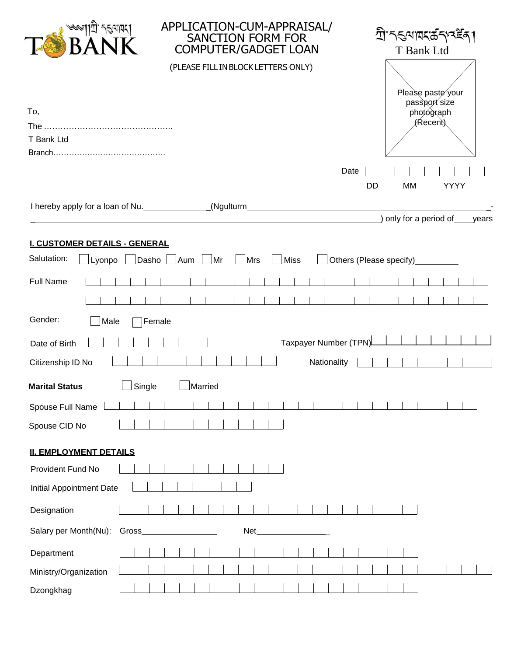| APPLICATION-CUM-APPRAISAL/<br>१९२० गया<br><b>SANCTION FORM FOR</b><br><b>COMPUTER/GADGET LOAN</b> |                         |    | T Bank Ltd       | শ্রী <sup>-</sup> নহুম'াম্বর্ষেন্'নইন্।          |             |       |
|---------------------------------------------------------------------------------------------------|-------------------------|----|------------------|--------------------------------------------------|-------------|-------|
| (PLEASE FILL IN BLOCK LETTERS ONLY)<br>To,<br>T Bank Ltd                                          | Date                    |    | <i>(</i> Ŕecent) | Please paste your<br>passport size<br>photograph |             |       |
|                                                                                                   | <b>DD</b>               | МM |                  |                                                  | <b>YYYY</b> |       |
| (Ngulturm<br>I hereby apply for a loan of Nu.                                                     |                         |    |                  |                                                  |             |       |
|                                                                                                   |                         |    |                  | only for a period of                             |             | years |
| <b>I. CUSTOMER DETAILS - GENERAL</b>                                                              |                         |    |                  |                                                  |             |       |
| Salutation:<br>$A$ um $\Box$<br>Mrs<br><b>Miss</b><br>Dasho<br>$\vert$ Mr<br>Lyonpo               | Others (Please specify) |    |                  |                                                  |             |       |
| <b>Full Name</b>                                                                                  |                         |    |                  |                                                  |             |       |
|                                                                                                   |                         |    |                  |                                                  |             |       |
| Gender:<br>Male<br>Female                                                                         |                         |    |                  |                                                  |             |       |
| Date of Birth                                                                                     | Taxpayer Number (TPN)   |    |                  |                                                  |             |       |
| Citizenship ID No                                                                                 | Nationality             |    |                  |                                                  |             |       |
| Single<br>Married<br><b>Marital Status</b>                                                        |                         |    |                  |                                                  |             |       |
| Spouse Full Name                                                                                  |                         |    |                  |                                                  |             |       |
| Spouse CID No                                                                                     |                         |    |                  |                                                  |             |       |
|                                                                                                   |                         |    |                  |                                                  |             |       |
| <b>II. EMPLOYMENT DETAILS</b>                                                                     |                         |    |                  |                                                  |             |       |
| Provident Fund No                                                                                 |                         |    |                  |                                                  |             |       |
| <b>Initial Appointment Date</b>                                                                   |                         |    |                  |                                                  |             |       |
| Designation                                                                                       |                         |    |                  |                                                  |             |       |
| Salary per Month(Nu): Gross_<br>Net                                                               |                         |    |                  |                                                  |             |       |
| Department                                                                                        |                         |    |                  |                                                  |             |       |
| Ministry/Organization                                                                             |                         |    |                  |                                                  |             |       |
| Dzongkhag                                                                                         |                         |    |                  |                                                  |             |       |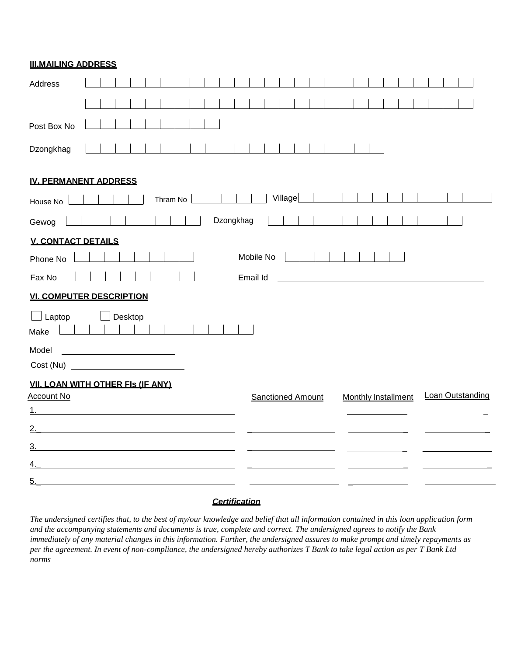#### **III.MAILING ADDRESS**

| Address                                                       |                          |                            |                  |
|---------------------------------------------------------------|--------------------------|----------------------------|------------------|
|                                                               |                          |                            |                  |
| Post Box No                                                   |                          |                            |                  |
| Dzongkhag                                                     |                          |                            |                  |
| <b>IV. PERMANENT ADDRESS</b>                                  |                          |                            |                  |
| Thram No<br>House No                                          | Village                  |                            |                  |
| Dzongkhag<br>Gewog                                            |                          |                            |                  |
| <b>V. CONTACT DETAILS</b><br>Phone No<br>Fax No               | Mobile No<br>Email Id    |                            |                  |
| <b>VI. COMPUTER DESCRIPTION</b>                               |                          |                            |                  |
| $\Box$ Laptop<br>Desktop<br>Make                              |                          |                            |                  |
| Model                                                         |                          |                            |                  |
| <b>VII. LOAN WITH OTHER FIS (IF ANY)</b><br><b>Account No</b> | <b>Sanctioned Amount</b> | <b>Monthly Installment</b> | Loan Outstanding |
| 2.                                                            |                          |                            |                  |
| 3.                                                            |                          |                            |                  |
| 4.                                                            |                          |                            |                  |
| 5.                                                            |                          |                            |                  |

#### *Certification*

*The undersigned certifies that, to the best of my/our knowledge and belief that all information contained in this loan application form and the accompanying statements and documents is true, complete and correct. The undersigned agrees to notify the Bank immediately of any material changes in this information. Further, the undersigned assures to make prompt and timely repayments as per the agreement. In event of non-compliance, the undersigned hereby authorizes T Bank to take legal action as per T Bank Ltd norms*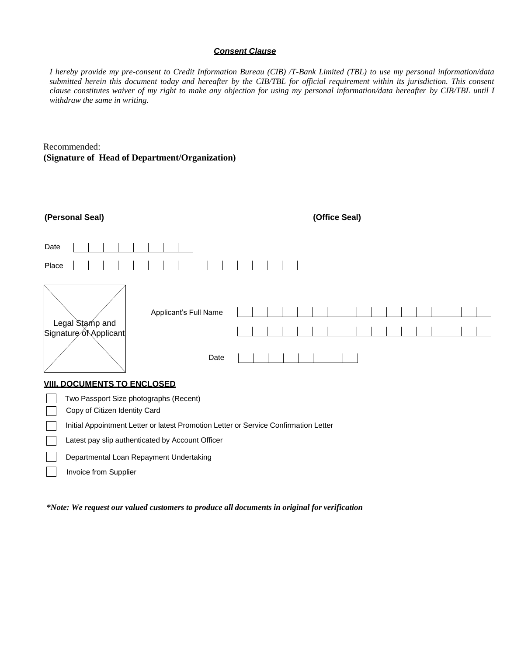#### *Consent Clause*

*I hereby provide my pre-consent to Credit Information Bureau (CIB) /T-Bank Limited (TBL) to use my personal information/data submitted herein this document today and hereafter by the CIB/TBL for official requirement within its jurisdiction. This consent clause constitutes waiver of my right to make any objection for using my personal information/data hereafter by CIB/TBL until I withdraw the same in writing.*

### Recommended: **(Signature of Head of Department/Organization)**

| (Personal Seal)                                                         |                                                                                      |  |  |  |  | (Office Seal) |  |  |  |  |  |
|-------------------------------------------------------------------------|--------------------------------------------------------------------------------------|--|--|--|--|---------------|--|--|--|--|--|
| Date<br>Place                                                           |                                                                                      |  |  |  |  |               |  |  |  |  |  |
| Legal Stamp and<br>Signature of Applicant                               | Applicant's Full Name                                                                |  |  |  |  |               |  |  |  |  |  |
|                                                                         | Date                                                                                 |  |  |  |  |               |  |  |  |  |  |
| <b>VIII. DOCUMENTS TO ENCLOSED</b>                                      |                                                                                      |  |  |  |  |               |  |  |  |  |  |
| Two Passport Size photographs (Recent)<br>Copy of Citizen Identity Card |                                                                                      |  |  |  |  |               |  |  |  |  |  |
|                                                                         | Initial Appointment Letter or latest Promotion Letter or Service Confirmation Letter |  |  |  |  |               |  |  |  |  |  |
| Latest pay slip authenticated by Account Officer                        |                                                                                      |  |  |  |  |               |  |  |  |  |  |
| Departmental Loan Repayment Undertaking                                 |                                                                                      |  |  |  |  |               |  |  |  |  |  |
| Invoice from Supplier                                                   |                                                                                      |  |  |  |  |               |  |  |  |  |  |

*\*Note: We request our valued customers to produce all documents in original for verification*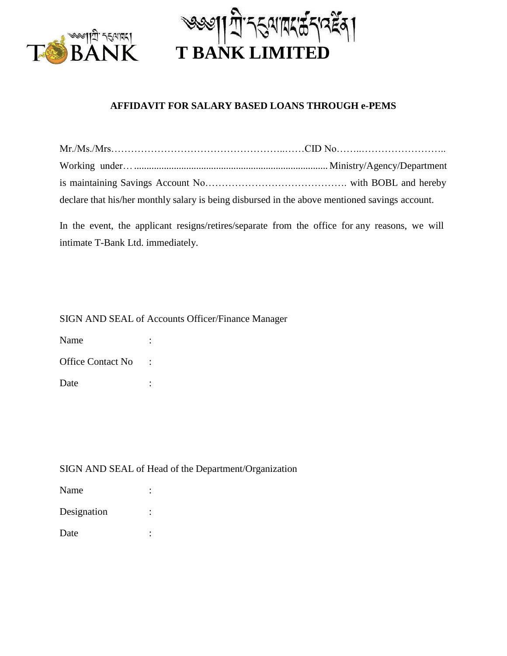



# **AFFIDAVIT FOR SALARY BASED LOANS THROUGH e-PEMS**

| declare that his/her monthly salary is being disbursed in the above mentioned savings account. |  |
|------------------------------------------------------------------------------------------------|--|

In the event, the applicant resigns/retires/separate from the office for any reasons, we will intimate T-Bank Ltd. immediately.

### SIGN AND SEAL of Accounts Officer/Finance Manager

| Name                     |  |
|--------------------------|--|
| <b>Office Contact No</b> |  |
| Date                     |  |

## SIGN AND SEAL of Head of the Department/Organization

| Name        |  |
|-------------|--|
| Designation |  |
| Date        |  |